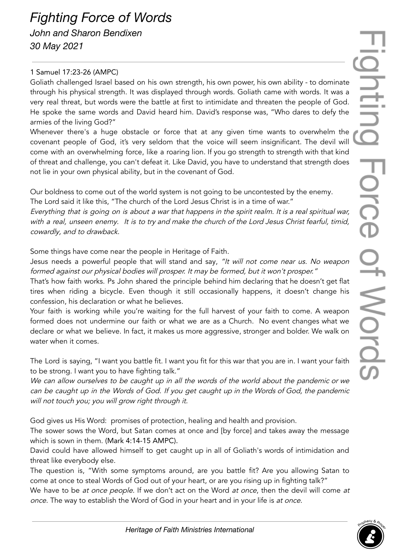## *Fighting Force of Words John and Sharon Bendixen 30 May 2021*

## 1 Samuel 17:23-26 (AMPC)

Goliath challenged Israel based on his own strength, his own power, his own ability - to dominate through his physical strength. It was displayed through words. Goliath came with words. It was a very real threat, but words were the battle at first to intimidate and threaten the people of God. He spoke the same words and David heard him. David's response was, "Who dares to defy the armies of the living God?"

Whenever there's a huge obstacle or force that at any given time wants to overwhelm the covenant people of God, it's very seldom that the voice will seem insignificant. The devil will come with an overwhelming force, like a roaring lion. If you go strength to strength with that kind of threat and challenge, you can't defeat it. Like David, you have to understand that strength does not lie in your own physical ability, but in the covenant of God.

Our boldness to come out of the world system is not going to be uncontested by the enemy. The Lord said it like this, "The church of the Lord Jesus Christ is in a time of war."

Everything that is going on is about <sup>a</sup> war that happens in the spirit realm. It is <sup>a</sup> real spiritual war, with a real, unseen enemy. It is to try and make the church of the Lord Jesus Christ fearful, timid, cowardly, and to drawback.

Some things have come near the people in Heritage of Faith.

Jesus needs a powerful people that will stand and say, "It will not come near us. No weapon formed against our physical bodies will prosper. It may be formed, but it won't prosper."

That's how faith works. Ps John shared the principle behind him declaring that he doesn't get flat tires when riding a bicycle. Even though it still occasionally happens, it doesn't change his confession, his declaration or what he believes.

Your faith is working while you're waiting for the full harvest of your faith to come. A weapon formed does not undermine our faith or what we are as a Church. No event changes what we declare or what we believe. In fact, it makes us more aggressive, stronger and bolder. We walk on water when it comes.

The Lord is saying, "I want you battle fit. I want you fit for this war that you are in. I want your faith to be strong. I want you to have fighting talk."

We can allow ourselves to be caught up in all the words of the world about the pandemic or we can be caught up in the Words of God. If you get caught up in the Words of God, the pandemic will not touch you; you will grow right through it.

God gives us His Word: promises of protection, healing and health and provision.

The sower sows the Word, but Satan comes at once and [by force] and takes away the message which is sown in them. (Mark 4:14-15 AMPC).

David could have allowed himself to get caught up in all of Goliath's words of intimidation and threat like everybody else.

The question is, "With some symptoms around, are you battle fit? Are you allowing Satan to come at once to steal Words of God out of your heart, or are you rising up in fighting talk?"

We have to be at once people. If we don't act on the Word at once, then the devil will come at once. The way to establish the Word of God in your heart and in your life is at once.

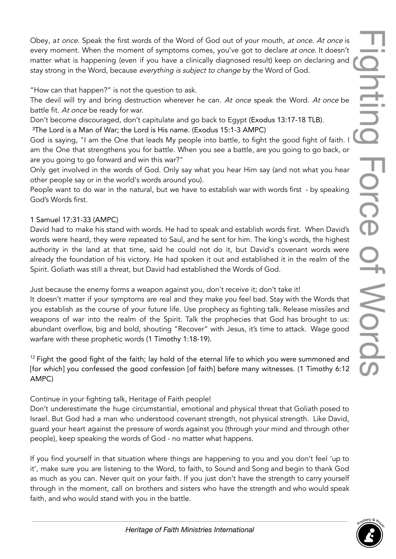Obey, at once. Speak the first words of the Word of God out of your mouth, at once. At once is every moment. When the moment of symptoms comes, you've got to declare at once. It doesn't matter what is happening (even if you have a clinically diagnosed result) keep on declaring and stay strong in the Word, because everything is subject to change by the Word of God.

"How can that happen?" is not the question to ask.

The devil will try and bring destruction wherever he can. At once speak the Word. At once be battle fit. At once be ready for war.

Don't become discouraged, don't capitulate and go back to Egypt (Exodus 13:17-18 TLB).

³The Lord is a Man of War; the Lord is His name. (Exodus 15:1-3 AMPC)

God is saying, "I am the One that leads My people into battle, to fight the good fight of faith. I am the One that strengthens you for battle. When you see a battle, are you going to go back, or are you going to go forward and win this war?"

Only get involved in the words of God. Only say what you hear Him say (and not what you hear other people say or in the world's words around you).

People want to do war in the natural, but we have to establish war with words first - by speaking God's Words first.

## 1 Samuel 17:31-33 (AMPC)

David had to make his stand with words. He had to speak and establish words first. When David's words were heard, they were repeated to Saul, and he sent for him. The king's words, the highest authority in the land at that time, said he could not do it, but David's covenant words were already the foundation of his victory. He had spoken it out and established it in the realm of the Spirit. Goliath was still a threat, but David had established the Words of God.

Just because the enemy forms a weapon against you, don't receive it; don't take it!

It doesn't matter if your symptoms are real and they make you feel bad. Stay with the Words that you establish as the course of your future life. Use prophecy as fighting talk. Release missiles and weapons of war into the realm of the Spirit. Talk the prophecies that God has brought to us: abundant overflow, big and bold, shouting "Recover" with Jesus, it's time to attack. Wage good warfare with these prophetic words (1 Timothy 1:18-19).

 $12$  Fight the good fight of the faith; lay hold of the eternal life to which you were summoned and [for which] you confessed the good confession [of faith] before many witnesses. (1 Timothy 6:12 AMPC)

Continue in your fighting talk, Heritage of Faith people!

Don't underestimate the huge circumstantial, emotional and physical threat that Goliath posed to Israel. But God had a man who understood covenant strength, not physical strength. Like David, guard your heart against the pressure of words against you (through your mind and through other people), keep speaking the words of God - no matter what happens.

If you find yourself in that situation where things are happening to you and you don't feel 'up to it', make sure you are listening to the Word, to faith, to Sound and Song and begin to thank God as much as you can. Never quit on your faith. If you just don't have the strength to carry yourself through in the moment, call on brothers and sisters who have the strength and who would speak faith, and who would stand with you in the battle.